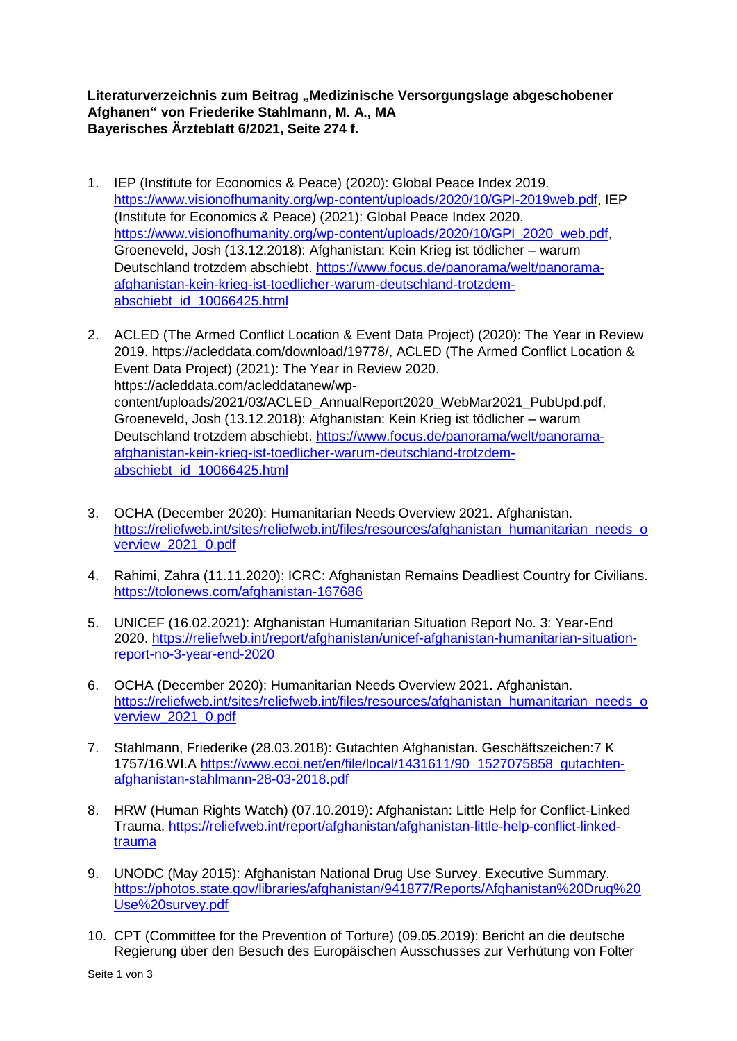## Literaturverzeichnis zum Beitrag "Medizinische Versorgungslage abgeschobener **Afghanen" von Friederike Stahlmann, M. A., MA Bayerisches Ärzteblatt 6/2021, Seite 274 f.**

- 1. IEP (Institute for Economics & Peace) (2020): Global Peace Index 2019. [https://www.visionofhumanity.org/wp-content/uploads/2020/10/GPI-2019web.pdf,](https://www.visionofhumanity.org/wp-content/uploads/2020/10/GPI-2019web.pdf) IEP (Institute for Economics & Peace) (2021): Global Peace Index 2020. [https://www.visionofhumanity.org/wp-content/uploads/2020/10/GPI\\_2020\\_web.pdf,](https://www.visionofhumanity.org/wp-content/uploads/2020/10/GPI_2020_web.pdf) Groeneveld, Josh (13.12.2018): Afghanistan: Kein Krieg ist tödlicher – warum Deutschland trotzdem abschiebt. [https://www.focus.de/panorama/welt/panorama](https://www.focus.de/panorama/welt/panorama-afghanistan-kein-krieg-ist-toedlicher-warum-deutschland-trotzdem-abschiebt_id_10066425.html)[afghanistan-kein-krieg-ist-toedlicher-warum-deutschland-trotzdem](https://www.focus.de/panorama/welt/panorama-afghanistan-kein-krieg-ist-toedlicher-warum-deutschland-trotzdem-abschiebt_id_10066425.html)[abschiebt\\_id\\_10066425.html](https://www.focus.de/panorama/welt/panorama-afghanistan-kein-krieg-ist-toedlicher-warum-deutschland-trotzdem-abschiebt_id_10066425.html)
- 2. ACLED (The Armed Conflict Location & Event Data Project) (2020): The Year in Review 2019. https://acleddata.com/download/19778/, ACLED (The Armed Conflict Location & Event Data Project) (2021): The Year in Review 2020. https://acleddata.com/acleddatanew/wpcontent/uploads/2021/03/ACLED\_AnnualReport2020\_WebMar2021\_PubUpd.pdf, Groeneveld, Josh (13.12.2018): Afghanistan: Kein Krieg ist tödlicher – warum Deutschland trotzdem abschiebt. [https://www.focus.de/panorama/welt/panorama](https://www.focus.de/panorama/welt/panorama-afghanistan-kein-krieg-ist-toedlicher-warum-deutschland-trotzdem-abschiebt_id_10066425.html)[afghanistan-kein-krieg-ist-toedlicher-warum-deutschland-trotzdem](https://www.focus.de/panorama/welt/panorama-afghanistan-kein-krieg-ist-toedlicher-warum-deutschland-trotzdem-abschiebt_id_10066425.html)[abschiebt\\_id\\_10066425.html](https://www.focus.de/panorama/welt/panorama-afghanistan-kein-krieg-ist-toedlicher-warum-deutschland-trotzdem-abschiebt_id_10066425.html)
- 3. OCHA (December 2020): Humanitarian Needs Overview 2021. Afghanistan. [https://reliefweb.int/sites/reliefweb.int/files/resources/afghanistan\\_humanitarian\\_needs\\_o](https://reliefweb.int/sites/reliefweb.int/files/resources/afghanistan_humanitarian_needs_overview_2021_0.pdf) [verview\\_2021\\_0.pdf](https://reliefweb.int/sites/reliefweb.int/files/resources/afghanistan_humanitarian_needs_overview_2021_0.pdf)
- 4. Rahimi, Zahra (11.11.2020): ICRC: Afghanistan Remains Deadliest Country for Civilians. <https://tolonews.com/afghanistan-167686>
- 5. UNICEF (16.02.2021): Afghanistan Humanitarian Situation Report No. 3: Year-End 2020. [https://reliefweb.int/report/afghanistan/unicef-afghanistan-humanitarian-situation](https://reliefweb.int/report/afghanistan/unicef-afghanistan-humanitarian-situation-report-no-3-year-end-2020)[report-no-3-year-end-2020](https://reliefweb.int/report/afghanistan/unicef-afghanistan-humanitarian-situation-report-no-3-year-end-2020)
- 6. OCHA (December 2020): Humanitarian Needs Overview 2021. Afghanistan. [https://reliefweb.int/sites/reliefweb.int/files/resources/afghanistan\\_humanitarian\\_needs\\_o](https://reliefweb.int/sites/reliefweb.int/files/resources/afghanistan_humanitarian_needs_overview_2021_0.pdf) [verview\\_2021\\_0.pdf](https://reliefweb.int/sites/reliefweb.int/files/resources/afghanistan_humanitarian_needs_overview_2021_0.pdf)
- 7. Stahlmann, Friederike (28.03.2018): Gutachten Afghanistan. Geschäftszeichen:7 K 1757/16.WI.A [https://www.ecoi.net/en/file/local/1431611/90\\_1527075858\\_gutachten](https://www.ecoi.net/en/file/local/1431611/90_1527075858_gutachten-afghanistan-stahlmann-28-03-2018.pdf)[afghanistan-stahlmann-28-03-2018.pdf](https://www.ecoi.net/en/file/local/1431611/90_1527075858_gutachten-afghanistan-stahlmann-28-03-2018.pdf)
- 8. HRW (Human Rights Watch) (07.10.2019): Afghanistan: Little Help for Conflict-Linked Trauma. [https://reliefweb.int/report/afghanistan/afghanistan-little-help-conflict-linked](https://reliefweb.int/report/afghanistan/afghanistan-little-help-conflict-linked-trauma)[trauma](https://reliefweb.int/report/afghanistan/afghanistan-little-help-conflict-linked-trauma)
- 9. UNODC (May 2015): Afghanistan National Drug Use Survey. Executive Summary. [https://photos.state.gov/libraries/afghanistan/941877/Reports/Afghanistan%20Drug%20](https://photos.state.gov/libraries/afghanistan/941877/Reports/Afghanistan%20Drug%20Use%20survey.pdf) [Use%20survey.pdf](https://photos.state.gov/libraries/afghanistan/941877/Reports/Afghanistan%20Drug%20Use%20survey.pdf)
- 10. CPT (Committee for the Prevention of Torture) (09.05.2019): Bericht an die deutsche Regierung über den Besuch des Europäischen Ausschusses zur Verhütung von Folter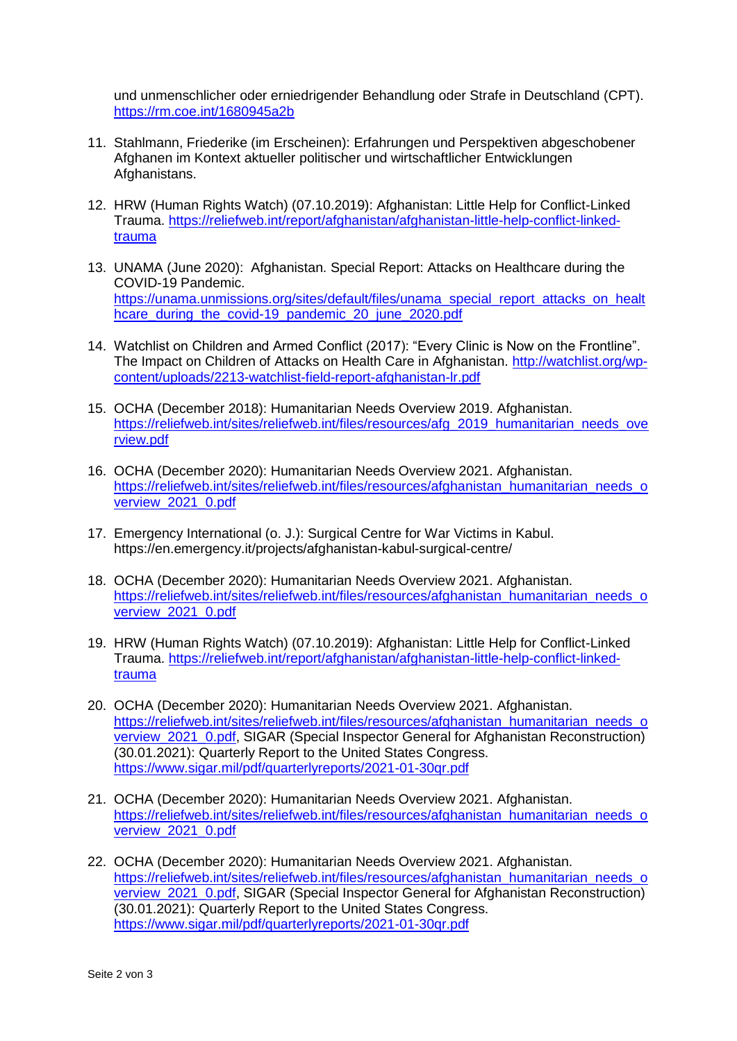und unmenschlicher oder erniedrigender Behandlung oder Strafe in Deutschland (CPT). <https://rm.coe.int/1680945a2b>

- 11. Stahlmann, Friederike (im Erscheinen): Erfahrungen und Perspektiven abgeschobener Afghanen im Kontext aktueller politischer und wirtschaftlicher Entwicklungen Afghanistans.
- 12. HRW (Human Rights Watch) (07.10.2019): Afghanistan: Little Help for Conflict-Linked Trauma. [https://reliefweb.int/report/afghanistan/afghanistan-little-help-conflict-linked](https://reliefweb.int/report/afghanistan/afghanistan-little-help-conflict-linked-trauma)[trauma](https://reliefweb.int/report/afghanistan/afghanistan-little-help-conflict-linked-trauma)
- 13. UNAMA (June 2020): Afghanistan. Special Report: Attacks on Healthcare during the COVID-19 Pandemic. [https://unama.unmissions.org/sites/default/files/unama\\_special\\_report\\_attacks\\_on\\_healt](https://unama.unmissions.org/sites/default/files/unama_special_report_attacks_on_healthcare_during_the_covid-19_pandemic_20_june_2020.pdf) hcare during the covid-19 pandemic 20 june 2020.pdf
- 14. Watchlist on Children and Armed Conflict (2017): "Every Clinic is Now on the Frontline". The Impact on Children of Attacks on Health Care in Afghanistan. [http://watchlist.org/wp](http://watchlist.org/wp-content/uploads/2213-watchlist-field-report-afghanistan-lr.pdf)[content/uploads/2213-watchlist-field-report-afghanistan-lr.pdf](http://watchlist.org/wp-content/uploads/2213-watchlist-field-report-afghanistan-lr.pdf)
- 15. OCHA (December 2018): Humanitarian Needs Overview 2019. Afghanistan. [https://reliefweb.int/sites/reliefweb.int/files/resources/afg\\_2019\\_humanitarian\\_needs\\_ove](https://reliefweb.int/sites/reliefweb.int/files/resources/afg_2019_humanitarian_needs_overview.pdf) [rview.pdf](https://reliefweb.int/sites/reliefweb.int/files/resources/afg_2019_humanitarian_needs_overview.pdf)
- 16. OCHA (December 2020): Humanitarian Needs Overview 2021. Afghanistan. [https://reliefweb.int/sites/reliefweb.int/files/resources/afghanistan\\_humanitarian\\_needs\\_o](https://reliefweb.int/sites/reliefweb.int/files/resources/afghanistan_humanitarian_needs_overview_2021_0.pdf) [verview\\_2021\\_0.pdf](https://reliefweb.int/sites/reliefweb.int/files/resources/afghanistan_humanitarian_needs_overview_2021_0.pdf)
- 17. Emergency International (o. J.): Surgical Centre for War Victims in Kabul. https://en.emergency.it/projects/afghanistan-kabul-surgical-centre/
- 18. OCHA (December 2020): Humanitarian Needs Overview 2021. Afghanistan. [https://reliefweb.int/sites/reliefweb.int/files/resources/afghanistan\\_humanitarian\\_needs\\_o](https://reliefweb.int/sites/reliefweb.int/files/resources/afghanistan_humanitarian_needs_overview_2021_0.pdf) [verview\\_2021\\_0.pdf](https://reliefweb.int/sites/reliefweb.int/files/resources/afghanistan_humanitarian_needs_overview_2021_0.pdf)
- 19. HRW (Human Rights Watch) (07.10.2019): Afghanistan: Little Help for Conflict-Linked Trauma. [https://reliefweb.int/report/afghanistan/afghanistan-little-help-conflict-linked](https://reliefweb.int/report/afghanistan/afghanistan-little-help-conflict-linked-trauma)[trauma](https://reliefweb.int/report/afghanistan/afghanistan-little-help-conflict-linked-trauma)
- 20. OCHA (December 2020): Humanitarian Needs Overview 2021. Afghanistan. [https://reliefweb.int/sites/reliefweb.int/files/resources/afghanistan\\_humanitarian\\_needs\\_o](https://reliefweb.int/sites/reliefweb.int/files/resources/afghanistan_humanitarian_needs_overview_2021_0.pdf) [verview\\_2021\\_0.pdf,](https://reliefweb.int/sites/reliefweb.int/files/resources/afghanistan_humanitarian_needs_overview_2021_0.pdf) SIGAR (Special Inspector General for Afghanistan Reconstruction) (30.01.2021): Quarterly Report to the United States Congress. <https://www.sigar.mil/pdf/quarterlyreports/2021-01-30qr.pdf>
- 21. OCHA (December 2020): Humanitarian Needs Overview 2021. Afghanistan. [https://reliefweb.int/sites/reliefweb.int/files/resources/afghanistan\\_humanitarian\\_needs\\_o](https://reliefweb.int/sites/reliefweb.int/files/resources/afghanistan_humanitarian_needs_overview_2021_0.pdf) [verview\\_2021\\_0.pdf](https://reliefweb.int/sites/reliefweb.int/files/resources/afghanistan_humanitarian_needs_overview_2021_0.pdf)
- 22. OCHA (December 2020): Humanitarian Needs Overview 2021. Afghanistan. [https://reliefweb.int/sites/reliefweb.int/files/resources/afghanistan\\_humanitarian\\_needs\\_o](https://reliefweb.int/sites/reliefweb.int/files/resources/afghanistan_humanitarian_needs_overview_2021_0.pdf) verview 2021 0.pdf, SIGAR (Special Inspector General for Afghanistan Reconstruction) (30.01.2021): Quarterly Report to the United States Congress. <https://www.sigar.mil/pdf/quarterlyreports/2021-01-30qr.pdf>